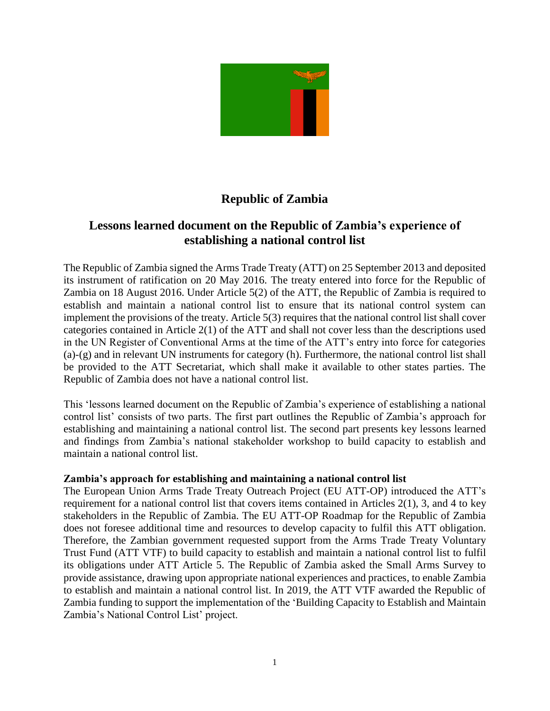

## **Republic of Zambia**

## **Lessons learned document on the Republic of Zambia's experience of establishing a national control list**

The Republic of Zambia signed the Arms Trade Treaty (ATT) on 25 September 2013 and deposited its instrument of ratification on 20 May 2016. The treaty entered into force for the Republic of Zambia on 18 August 2016. Under Article 5(2) of the ATT, the Republic of Zambia is required to establish and maintain a national control list to ensure that its national control system can implement the provisions of the treaty. Article 5(3) requires that the national control list shall cover categories contained in Article 2(1) of the ATT and shall not cover less than the descriptions used in the UN Register of Conventional Arms at the time of the ATT's entry into force for categories (a)-(g) and in relevant UN instruments for category (h). Furthermore, the national control list shall be provided to the ATT Secretariat, which shall make it available to other states parties. The Republic of Zambia does not have a national control list.

This 'lessons learned document on the Republic of Zambia's experience of establishing a national control list' consists of two parts. The first part outlines the Republic of Zambia's approach for establishing and maintaining a national control list. The second part presents key lessons learned and findings from Zambia's national stakeholder workshop to build capacity to establish and maintain a national control list.

## **Zambia's approach for establishing and maintaining a national control list**

The European Union Arms Trade Treaty Outreach Project (EU ATT-OP) introduced the ATT's requirement for a national control list that covers items contained in Articles 2(1), 3, and 4 to key stakeholders in the Republic of Zambia. The EU ATT-OP Roadmap for the Republic of Zambia does not foresee additional time and resources to develop capacity to fulfil this ATT obligation. Therefore, the Zambian government requested support from the Arms Trade Treaty Voluntary Trust Fund (ATT VTF) to build capacity to establish and maintain a national control list to fulfil its obligations under ATT Article 5. The Republic of Zambia asked the Small Arms Survey to provide assistance, drawing upon appropriate national experiences and practices, to enable Zambia to establish and maintain a national control list. In 2019, the ATT VTF awarded the Republic of Zambia funding to support the implementation of the 'Building Capacity to Establish and Maintain Zambia's National Control List' project.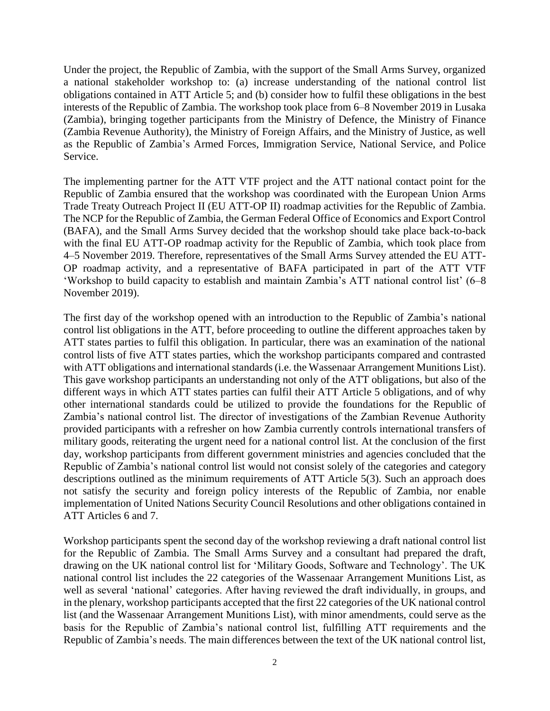Under the project, the Republic of Zambia, with the support of the Small Arms Survey, organized a national stakeholder workshop to: (a) increase understanding of the national control list obligations contained in ATT Article 5; and (b) consider how to fulfil these obligations in the best interests of the Republic of Zambia. The workshop took place from 6–8 November 2019 in Lusaka (Zambia), bringing together participants from the Ministry of Defence, the Ministry of Finance (Zambia Revenue Authority), the Ministry of Foreign Affairs, and the Ministry of Justice, as well as the Republic of Zambia's Armed Forces, Immigration Service, National Service, and Police Service.

The implementing partner for the ATT VTF project and the ATT national contact point for the Republic of Zambia ensured that the workshop was coordinated with the European Union Arms Trade Treaty Outreach Project II (EU ATT-OP II) roadmap activities for the Republic of Zambia. The NCP for the Republic of Zambia, the German Federal Office of Economics and Export Control (BAFA), and the Small Arms Survey decided that the workshop should take place back-to-back with the final EU ATT-OP roadmap activity for the Republic of Zambia, which took place from 4–5 November 2019. Therefore, representatives of the Small Arms Survey attended the EU ATT-OP roadmap activity, and a representative of BAFA participated in part of the ATT VTF 'Workshop to build capacity to establish and maintain Zambia's ATT national control list' (6–8 November 2019).

The first day of the workshop opened with an introduction to the Republic of Zambia's national control list obligations in the ATT, before proceeding to outline the different approaches taken by ATT states parties to fulfil this obligation. In particular, there was an examination of the national control lists of five ATT states parties, which the workshop participants compared and contrasted with ATT obligations and international standards (i.e. the Wassenaar Arrangement Munitions List). This gave workshop participants an understanding not only of the ATT obligations, but also of the different ways in which ATT states parties can fulfil their ATT Article 5 obligations, and of why other international standards could be utilized to provide the foundations for the Republic of Zambia's national control list. The director of investigations of the Zambian Revenue Authority provided participants with a refresher on how Zambia currently controls international transfers of military goods, reiterating the urgent need for a national control list. At the conclusion of the first day, workshop participants from different government ministries and agencies concluded that the Republic of Zambia's national control list would not consist solely of the categories and category descriptions outlined as the minimum requirements of ATT Article 5(3). Such an approach does not satisfy the security and foreign policy interests of the Republic of Zambia, nor enable implementation of United Nations Security Council Resolutions and other obligations contained in ATT Articles 6 and 7.

Workshop participants spent the second day of the workshop reviewing a draft national control list for the Republic of Zambia. The Small Arms Survey and a consultant had prepared the draft, drawing on the UK national control list for 'Military Goods, Software and Technology'. The UK national control list includes the 22 categories of the Wassenaar Arrangement Munitions List, as well as several 'national' categories. After having reviewed the draft individually, in groups, and in the plenary, workshop participants accepted that the first 22 categories of the UK national control list (and the Wassenaar Arrangement Munitions List), with minor amendments, could serve as the basis for the Republic of Zambia's national control list, fulfilling ATT requirements and the Republic of Zambia's needs. The main differences between the text of the UK national control list,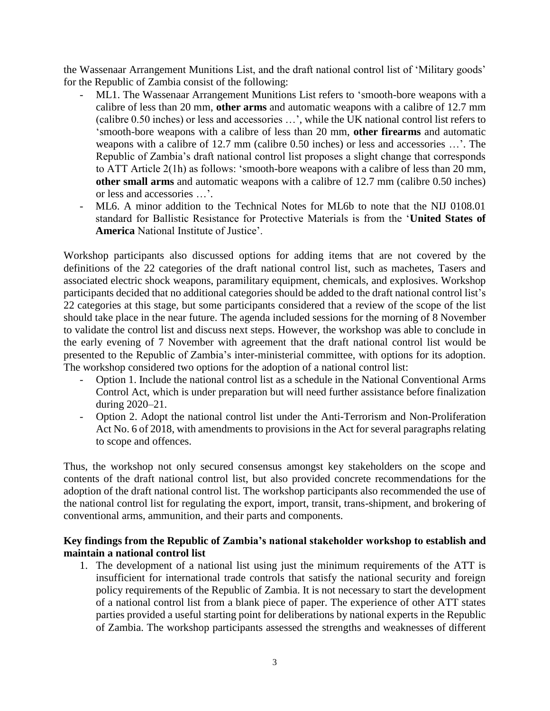the Wassenaar Arrangement Munitions List, and the draft national control list of 'Military goods' for the Republic of Zambia consist of the following:

- ML1. The Wassenaar Arrangement Munitions List refers to 'smooth-bore weapons with a calibre of less than 20 mm, **other arms** and automatic weapons with a calibre of 12.7 mm (calibre 0.50 inches) or less and accessories …', while the UK national control list refers to 'smooth-bore weapons with a calibre of less than 20 mm, **other firearms** and automatic weapons with a calibre of 12.7 mm (calibre 0.50 inches) or less and accessories …'. The Republic of Zambia's draft national control list proposes a slight change that corresponds to ATT Article 2(1h) as follows: 'smooth-bore weapons with a calibre of less than 20 mm, **other small arms** and automatic weapons with a calibre of 12.7 mm (calibre 0.50 inches) or less and accessories …'.
- ML6. A minor addition to the Technical Notes for ML6b to note that the NIJ 0108.01 standard for Ballistic Resistance for Protective Materials is from the '**United States of America** National Institute of Justice'.

Workshop participants also discussed options for adding items that are not covered by the definitions of the 22 categories of the draft national control list, such as machetes, Tasers and associated electric shock weapons, paramilitary equipment, chemicals, and explosives. Workshop participants decided that no additional categories should be added to the draft national control list's 22 categories at this stage, but some participants considered that a review of the scope of the list should take place in the near future. The agenda included sessions for the morning of 8 November to validate the control list and discuss next steps. However, the workshop was able to conclude in the early evening of 7 November with agreement that the draft national control list would be presented to the Republic of Zambia's inter-ministerial committee, with options for its adoption. The workshop considered two options for the adoption of a national control list:

- Option 1. Include the national control list as a schedule in the National Conventional Arms Control Act, which is under preparation but will need further assistance before finalization during 2020–21.
- Option 2. Adopt the national control list under the Anti-Terrorism and Non-Proliferation Act No. 6 of 2018, with amendments to provisions in the Act for several paragraphs relating to scope and offences.

Thus, the workshop not only secured consensus amongst key stakeholders on the scope and contents of the draft national control list, but also provided concrete recommendations for the adoption of the draft national control list. The workshop participants also recommended the use of the national control list for regulating the export, import, transit, trans-shipment, and brokering of conventional arms, ammunition, and their parts and components.

## **Key findings from the Republic of Zambia's national stakeholder workshop to establish and maintain a national control list**

1. The development of a national list using just the minimum requirements of the ATT is insufficient for international trade controls that satisfy the national security and foreign policy requirements of the Republic of Zambia. It is not necessary to start the development of a national control list from a blank piece of paper. The experience of other ATT states parties provided a useful starting point for deliberations by national experts in the Republic of Zambia. The workshop participants assessed the strengths and weaknesses of different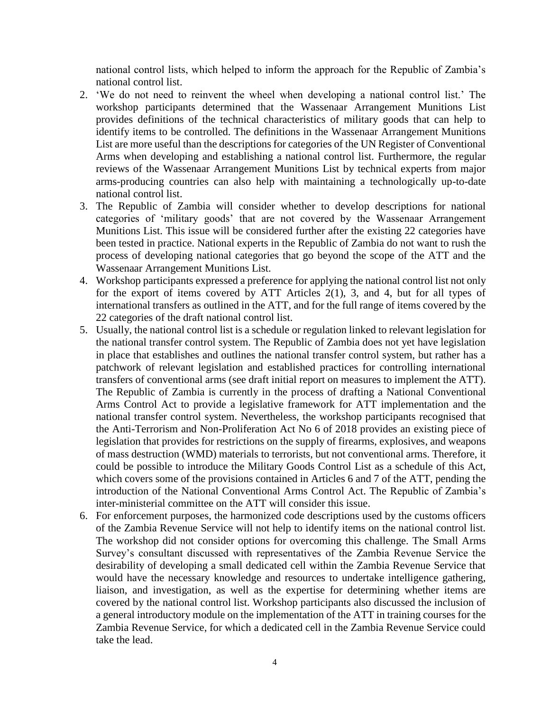national control lists, which helped to inform the approach for the Republic of Zambia's national control list.

- 2. 'We do not need to reinvent the wheel when developing a national control list.' The workshop participants determined that the Wassenaar Arrangement Munitions List provides definitions of the technical characteristics of military goods that can help to identify items to be controlled. The definitions in the Wassenaar Arrangement Munitions List are more useful than the descriptions for categories of the UN Register of Conventional Arms when developing and establishing a national control list. Furthermore, the regular reviews of the Wassenaar Arrangement Munitions List by technical experts from major arms-producing countries can also help with maintaining a technologically up-to-date national control list.
- 3. The Republic of Zambia will consider whether to develop descriptions for national categories of 'military goods' that are not covered by the Wassenaar Arrangement Munitions List. This issue will be considered further after the existing 22 categories have been tested in practice. National experts in the Republic of Zambia do not want to rush the process of developing national categories that go beyond the scope of the ATT and the Wassenaar Arrangement Munitions List.
- 4. Workshop participants expressed a preference for applying the national control list not only for the export of items covered by ATT Articles 2(1), 3, and 4, but for all types of international transfers as outlined in the ATT, and for the full range of items covered by the 22 categories of the draft national control list.
- 5. Usually, the national control list is a schedule or regulation linked to relevant legislation for the national transfer control system. The Republic of Zambia does not yet have legislation in place that establishes and outlines the national transfer control system, but rather has a patchwork of relevant legislation and established practices for controlling international transfers of conventional arms (see draft initial report on measures to implement the ATT). The Republic of Zambia is currently in the process of drafting a National Conventional Arms Control Act to provide a legislative framework for ATT implementation and the national transfer control system. Nevertheless, the workshop participants recognised that the Anti-Terrorism and Non-Proliferation Act No 6 of 2018 provides an existing piece of legislation that provides for restrictions on the supply of firearms, explosives, and weapons of mass destruction (WMD) materials to terrorists, but not conventional arms. Therefore, it could be possible to introduce the Military Goods Control List as a schedule of this Act, which covers some of the provisions contained in Articles 6 and 7 of the ATT, pending the introduction of the National Conventional Arms Control Act. The Republic of Zambia's inter-ministerial committee on the ATT will consider this issue.
- 6. For enforcement purposes, the harmonized code descriptions used by the customs officers of the Zambia Revenue Service will not help to identify items on the national control list. The workshop did not consider options for overcoming this challenge. The Small Arms Survey's consultant discussed with representatives of the Zambia Revenue Service the desirability of developing a small dedicated cell within the Zambia Revenue Service that would have the necessary knowledge and resources to undertake intelligence gathering, liaison, and investigation, as well as the expertise for determining whether items are covered by the national control list. Workshop participants also discussed the inclusion of a general introductory module on the implementation of the ATT in training courses for the Zambia Revenue Service, for which a dedicated cell in the Zambia Revenue Service could take the lead.